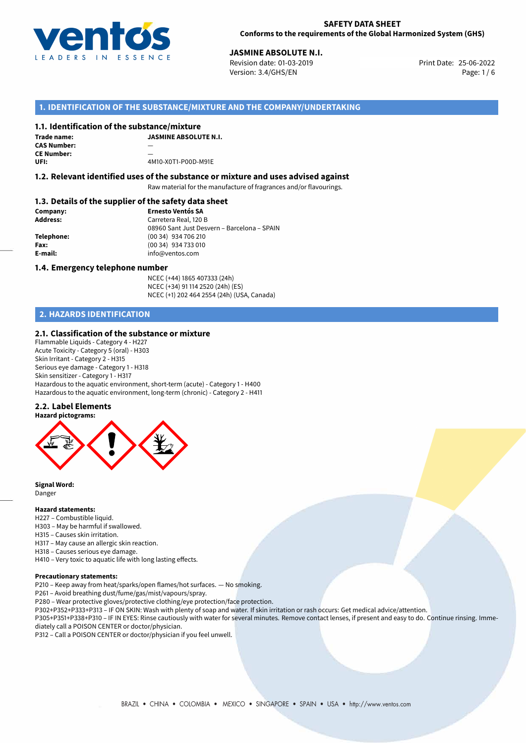

**JASMINE ABSOLUTE N.I.**<br>Revision date: 01-03-2019 **Print Date: 25-06-2022** Version: 3.4/GHS/EN Page: 1 / 6

# **1. IDENTIFICATION OF THE SUBSTANCE/MIXTURE AND THE COMPANY/UNDERTAKING**

## **1.1. Identification of the substance/mixture**

| Trade name:        | <b>JASMINE ABSOLUTE N.I.</b> |
|--------------------|------------------------------|
| <b>CAS Number:</b> | __                           |
| <b>CE Number:</b>  |                              |
| UFI:               | 4M10-X0T1-P00D-M91E          |

## **1.2. Relevant identified uses of the substance or mixture and uses advised against**

Raw material for the manufacture of fragrances and/or flavourings.

# **1.3. Details of the supplier of the safety data sheet**

| Company:        | <b>Ernesto Ventós SA</b>                    |
|-----------------|---------------------------------------------|
| <b>Address:</b> | Carretera Real, 120 B                       |
|                 | 08960 Sant Just Desvern - Barcelona - SPAIN |
| Telephone:      | (00 34) 934 706 210                         |
| Fax:            | (00 34) 934 733 010                         |
| E-mail:         | info@ventos.com                             |
|                 |                                             |

### **1.4. Emergency telephone number**

NCEC (+44) 1865 407333 (24h) NCEC (+34) 91 114 2520 (24h) (ES) NCEC (+1) 202 464 2554 (24h) (USA, Canada)

# **2. HAZARDS IDENTIFICATION**

## **2.1. Classification of the substance or mixture**

Flammable Liquids - Category 4 - H227 Acute Toxicity - Category 5 (oral) - H303 Skin Irritant - Category 2 - H315 Serious eye damage - Category 1 - H318 Skin sensitizer - Category 1 - H317 Hazardous to the aquatic environment, short-term (acute) - Category 1 - H400 Hazardous to the aquatic environment, long-term (chronic) - Category 2 - H411

### **2.2. Label Elements**



**Signal Word:** Danger

## **Hazard statements:**

- H227 Combustible liquid.
- H303 May be harmful if swallowed.
- H315 Causes skin irritation.
- H317 May cause an allergic skin reaction.
- H318 Causes serious eye damage.
- H410 Very toxic to aquatic life with long lasting effects.

## **Precautionary statements:**

- P210 Keep away from heat/sparks/open flames/hot surfaces. No smoking.
- P261 Avoid breathing dust/fume/gas/mist/vapours/spray.
- P280 Wear protective gloves/protective clothing/eye protection/face protection.
- P302+P352+P333+P313 IF ON SKIN: Wash with plenty of soap and water. If skin irritation or rash occurs: Get medical advice/attention.
- P305+P351+P338+P310 IF IN EYES: Rinse cautiously with water for several minutes. Remove contact lenses, if present and easy to do. Continue rinsing. Immediately call a POISON CENTER or doctor/physician.
- P312 Call a POISON CENTER or doctor/physician if you feel unwell.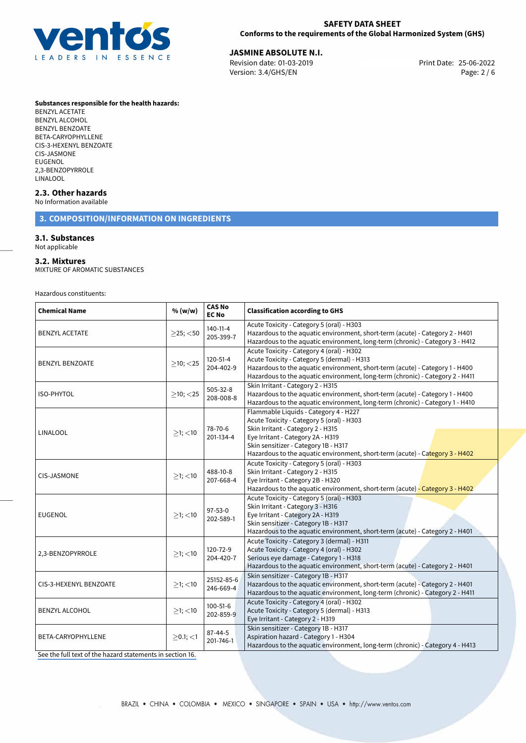

**JASMINE ABSOLUTE N.I.**<br>Revision date: 01-03-2019 **CONTENT PERMIC REVISION Print Date: 25-06-2022** Revision date: 01-03-2019 Version: 3.4/GHS/EN Page: 2 / 6

**Substances responsible for the health hazards:**

BENZYL ACETATE BENZYL ALCOHOL BENZYL BENZOATE BETA-CARYOPHYLLENE CIS-3-HEXENYL BENZOATE CIS-JASMONE **FUGENOL** 2,3-BENZOPYRROLE LINALOOL

## **2.3. Other hazards**

No Information available

# **3. COMPOSITION/INFORMATION ON INGREDIENTS**

## **3.1. Substances**

Not applicable

## **3.2. Mixtures**

MIXTURE OF AROMATIC SUBSTANCES

Hazardous constituents:

| <b>Chemical Name</b>   | % (w/w)           | <b>CAS No</b><br><b>EC No</b> | <b>Classification according to GHS</b>                                                                                                                                                                                                                                               |  |  |  |
|------------------------|-------------------|-------------------------------|--------------------------------------------------------------------------------------------------------------------------------------------------------------------------------------------------------------------------------------------------------------------------------------|--|--|--|
| <b>BENZYL ACETATE</b>  | $\geq$ 25; $<$ 50 | 140-11-4<br>205-399-7         | Acute Toxicity - Category 5 (oral) - H303<br>Hazardous to the aquatic environment, short-term (acute) - Category 2 - H401<br>Hazardous to the aquatic environment, long-term (chronic) - Category 3 - H412                                                                           |  |  |  |
| <b>BENZYL BENZOATE</b> | $>10$ ; $<$ 25    | $120 - 51 - 4$<br>204-402-9   | Acute Toxicity - Category 4 (oral) - H302<br>Acute Toxicity - Category 5 (dermal) - H313<br>Hazardous to the aquatic environment, short-term (acute) - Category 1 - H400<br>Hazardous to the aquatic environment, long-term (chronic) - Category 2 - H411                            |  |  |  |
| <b>ISO-PHYTOL</b>      | $>10$ ; $<$ 25    | 505-32-8<br>208-008-8         | Skin Irritant - Category 2 - H315<br>Hazardous to the aquatic environment, short-term (acute) - Category 1 - H400<br>Hazardous to the aquatic environment, long-term (chronic) - Category 1 - H410                                                                                   |  |  |  |
| LINALOOL               | $>1$ ; $<$ 10     | 78-70-6<br>201-134-4          | Flammable Liquids - Category 4 - H227<br>Acute Toxicity - Category 5 (oral) - H303<br>Skin Irritant - Category 2 - H315<br>Eye Irritant - Category 2A - H319<br>Skin sensitizer - Category 1B - H317<br>Hazardous to the aquatic environment, short-term (acute) - Category 3 - H402 |  |  |  |
| <b>CIS-JASMONE</b>     | $>1$ ; <10        | 488-10-8<br>207-668-4         | Acute Toxicity - Category 5 (oral) - H303<br>Skin Irritant - Category 2 - H315<br>Eye Irritant - Category 2B - H320<br>Hazardous to the aquatic environment, short-term (acute) - Category 3 - H402                                                                                  |  |  |  |
| <b>EUGENOL</b>         | $>1$ ; <10        | $97 - 53 - 0$<br>202-589-1    | Acute Toxicity - Category 5 (oral) - H303<br>Skin Irritant - Category 3 - H316<br>Eye Irritant - Category 2A - H319<br>Skin sensitizer - Category 1B - H317<br>Hazardous to the aquatic environment, short-term (acute) - Category 2 - H401                                          |  |  |  |
| 2,3-BENZOPYRROLE       | $>1$ ; $<$ 10     | 120-72-9<br>204-420-7         | Acute Toxicity - Category 3 (dermal) - H311<br>Acute Toxicity - Category 4 (oral) - H302<br>Serious eye damage - Category 1 - H318<br>Hazardous to the aquatic environment, short-term (acute) - Category 2 - H401                                                                   |  |  |  |
| CIS-3-HEXENYL BENZOATE | $>1$ ; <10        | 25152-85-6<br>246-669-4       | Skin sensitizer - Category 1B - H317<br>Hazardous to the aquatic environment, short-term (acute) - Category 2 - H401<br>Hazardous to the aquatic environment, long-term (chronic) - Category 2 - H411                                                                                |  |  |  |
| <b>BENZYL ALCOHOL</b>  | $>1$ ; <10        | $100 - 51 - 6$<br>202-859-9   | Acute Toxicity - Category 4 (oral) - H302<br>Acute Toxicity - Category 5 (dermal) - H313<br>Eye Irritant - Category 2 - H319                                                                                                                                                         |  |  |  |
| BETA-CARYOPHYLLENE     | $\geq$ 0.1; <1    | 87-44-5<br>201-746-1          | Skin sensitizer - Category 1B - H317<br>Aspiration hazard - Category 1 - H304<br>Hazardous to the aquatic environment, long-term (chronic) - Category 4 - H413                                                                                                                       |  |  |  |

[See the full text of the hazard statements in section 16.](#page-5-0)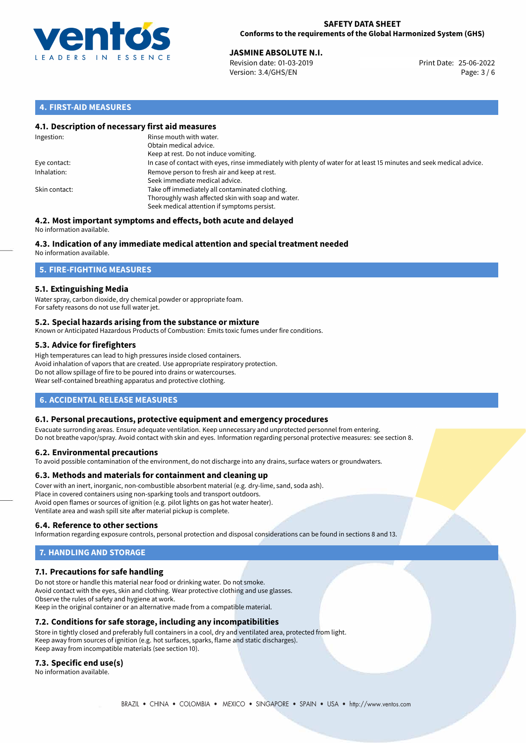

**JASMINE ABSOLUTE N.I.**<br>Revision date: 01-03-2019 **Print Date: 25-06-2022** Version: 3.4/GHS/EN Page: 3 / 6

# **4. FIRST-AID MEASURES**

## **4.1. Description of necessary first aid measures**

| Ingestion:    | Rinse mouth with water.<br>Obtain medical advice.<br>Keep at rest. Do not induce vomiting.                                                           |
|---------------|------------------------------------------------------------------------------------------------------------------------------------------------------|
| Eye contact:  | In case of contact with eyes, rinse immediately with plenty of water for at least 15 minutes and seek medical advice.                                |
| Inhalation:   | Remove person to fresh air and keep at rest.<br>Seek immediate medical advice.                                                                       |
| Skin contact: | Take off immediately all contaminated clothing.<br>Thoroughly wash affected skin with soap and water.<br>Seek medical attention if symptoms persist. |

#### **4.2. Most important symptoms and effects, both acute and delayed** No information available.

# **4.3. Indication of any immediate medical attention and special treatment needed**

No information available.

# **5. FIRE-FIGHTING MEASURES**

## **5.1. Extinguishing Media**

Water spray, carbon dioxide, dry chemical powder or appropriate foam. For safety reasons do not use full water jet.

## **5.2. Special hazards arising from the substance or mixture**

Known or Anticipated Hazardous Products of Combustion: Emits toxic fumes under fire conditions.

## **5.3. Advice for firefighters**

High temperatures can lead to high pressures inside closed containers. Avoid inhalation of vapors that are created. Use appropriate respiratory protection. Do not allow spillage of fire to be poured into drains or watercourses. Wear self-contained breathing apparatus and protective clothing.

# **6. ACCIDENTAL RELEASE MEASURES**

## **6.1. Personal precautions, protective equipment and emergency procedures**

Evacuate surronding areas. Ensure adequate ventilation. Keep unnecessary and unprotected personnel from entering. Do not breathe vapor/spray. Avoid contact with skin and eyes. Information regarding personal protective measures: see section 8.

## **6.2. Environmental precautions**

To avoid possible contamination of the environment, do not discharge into any drains, surface waters or groundwaters.

## **6.3. Methods and materials for containment and cleaning up**

Cover with an inert, inorganic, non-combustible absorbent material (e.g. dry-lime, sand, soda ash). Place in covered containers using non-sparking tools and transport outdoors. Avoid open flames or sources of ignition (e.g. pilot lights on gas hot water heater). Ventilate area and wash spill site after material pickup is complete.

## **6.4. Reference to other sections**

Information regarding exposure controls, personal protection and disposal considerations can be found in sections 8 and 13.

# **7. HANDLING AND STORAGE**

## **7.1. Precautions for safe handling**

Do not store or handle this material near food or drinking water. Do not smoke. Avoid contact with the eyes, skin and clothing. Wear protective clothing and use glasses. Observe the rules of safety and hygiene at work. Keep in the original container or an alternative made from a compatible material.

## **7.2. Conditions for safe storage, including any incompatibilities**

Store in tightly closed and preferably full containers in a cool, dry and ventilated area, protected from light. Keep away from sources of ignition (e.g. hot surfaces, sparks, flame and static discharges). Keep away from incompatible materials (see section 10).

## **7.3. Specific end use(s)**

No information available.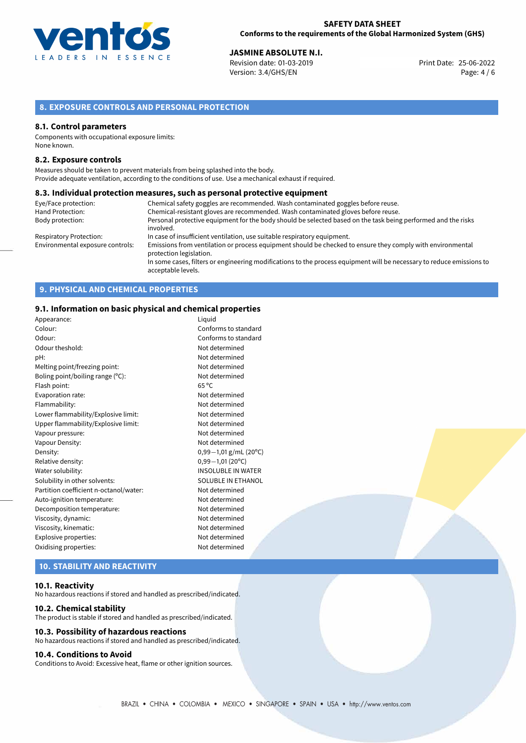

**JASMINE ABSOLUTE N.I.**<br>Revision date: 01-03-2019 **Print Date: 25-06-2022** Version: 3.4/GHS/EN Page: 4 / 6

# **8. EXPOSURE CONTROLS AND PERSONAL PROTECTION**

## **8.1. Control parameters**

Components with occupational exposure limits: None known.

## **8.2. Exposure controls**

Measures should be taken to prevent materials from being splashed into the body. Provide adequate ventilation, according to the conditions of use. Use a mechanical exhaust if required.

### **8.3. Individual protection measures, such as personal protective equipment**

| Eye/Face protection:             | Chemical safety goggles are recommended. Wash contaminated goggles before reuse.                                                            |
|----------------------------------|---------------------------------------------------------------------------------------------------------------------------------------------|
| Hand Protection:                 | Chemical-resistant gloves are recommended. Wash contaminated gloves before reuse.                                                           |
| Body protection:                 | Personal protective equipment for the body should be selected based on the task being performed and the risks                               |
|                                  | involved.                                                                                                                                   |
| Respiratory Protection:          | In case of insufficient ventilation, use suitable respiratory equipment.                                                                    |
| Environmental exposure controls: | Emissions from ventilation or process equipment should be checked to ensure they comply with environmental<br>protection legislation.       |
|                                  | In some cases, filters or engineering modifications to the process equipment will be necessary to reduce emissions to<br>acceptable levels. |

# **9. PHYSICAL AND CHEMICAL PROPERTIES**

## **9.1. Information on basic physical and chemical properties**

| Appearance:                            | Liguid                    |
|----------------------------------------|---------------------------|
| Colour:                                | Conforms to standard      |
| Odour:                                 | Conforms to standard      |
| Odour theshold:                        | Not determined            |
| pH:                                    | Not determined            |
| Melting point/freezing point:          | Not determined            |
| Boling point/boiling range (°C):       | Not determined            |
| Flash point:                           | $65^{\circ}$ C            |
| Evaporation rate:                      | Not determined            |
| Flammability:                          | Not determined            |
| Lower flammability/Explosive limit:    | Not determined            |
| Upper flammability/Explosive limit:    | Not determined            |
| Vapour pressure:                       | Not determined            |
| Vapour Density:                        | Not determined            |
| Density:                               | $0,99-1,01$ g/mL (20°C)   |
| Relative density:                      | $0,99-1,01(20°C)$         |
| Water solubility:                      | <b>INSOLUBLE IN WATER</b> |
| Solubility in other solvents:          | SOLUBLE IN ETHANOL        |
| Partition coefficient n-octanol/water: | Not determined            |
| Auto-ignition temperature:             | Not determined            |
| Decomposition temperature:             | Not determined            |
| Viscosity, dynamic:                    | Not determined            |
| Viscosity, kinematic:                  | Not determined            |
| Explosive properties:                  | Not determined            |
| Oxidising properties:                  | Not determined            |
|                                        |                           |

# **10. STABILITY AND REACTIVITY**

### **10.1. Reactivity**

No hazardous reactions if stored and handled as prescribed/indicated.

### **10.2. Chemical stability**

The product is stable if stored and handled as prescribed/indicated.

## **10.3. Possibility of hazardous reactions**

No hazardous reactions if stored and handled as prescribed/indicated.

#### **10.4. Conditions to Avoid**

Conditions to Avoid: Excessive heat, flame or other ignition sources.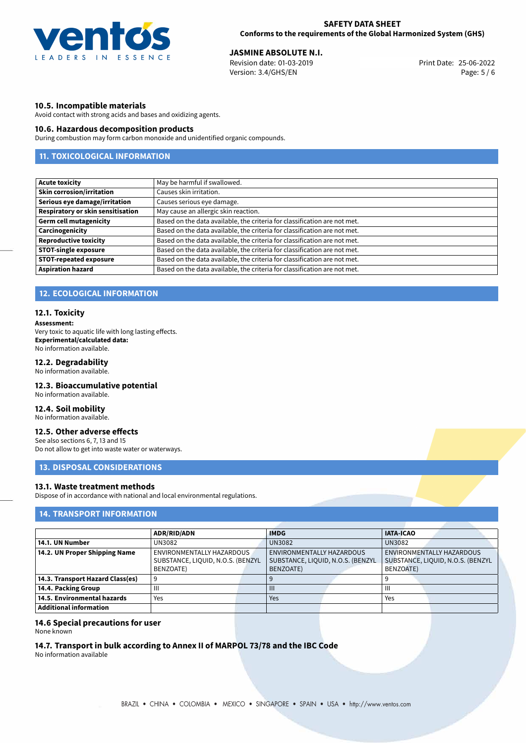

**JASMINE ABSOLUTE N.I.**<br>Revision date: 01-03-2019 **Print Date: 25-06-2022** Version: 3.4/GHS/EN Page: 5 / 6

## **10.5. Incompatible materials**

Avoid contact with strong acids and bases and oxidizing agents.

## **10.6. Hazardous decomposition products**

During combustion may form carbon monoxide and unidentified organic compounds.

# **11. TOXICOLOGICAL INFORMATION**

| <b>Acute toxicity</b>             | May be harmful if swallowed.                                              |
|-----------------------------------|---------------------------------------------------------------------------|
| <b>Skin corrosion/irritation</b>  | Causes skin irritation.                                                   |
| Serious eye damage/irritation     | Causes serious eye damage.                                                |
| Respiratory or skin sensitisation | May cause an allergic skin reaction.                                      |
| <b>Germ cell mutagenicity</b>     | Based on the data available, the criteria for classification are not met. |
| Carcinogenicity                   | Based on the data available, the criteria for classification are not met. |
| <b>Reproductive toxicity</b>      | Based on the data available, the criteria for classification are not met. |
| <b>STOT-single exposure</b>       | Based on the data available, the criteria for classification are not met. |
| <b>STOT-repeated exposure</b>     | Based on the data available, the criteria for classification are not met. |
| <b>Aspiration hazard</b>          | Based on the data available, the criteria for classification are not met. |

# **12. ECOLOGICAL INFORMATION**

## **12.1. Toxicity**

**Assessment:**

Very toxic to aquatic life with long lasting effects. **Experimental/calculated data:** No information available.

## **12.2. Degradability**

No information available.

## **12.3. Bioaccumulative potential**

No information available.

## **12.4. Soil mobility**

No information available.

# **12.5. Other adverse effects**

See also sections 6, 7, 13 and 15 Do not allow to get into waste water or waterways.

## **13. DISPOSAL CONSIDERATIONS**

## **13.1. Waste treatment methods**

Dispose of in accordance with national and local environmental regulations.

## **14. TRANSPORT INFORMATION**

|                                    | <b>ADR/RID/ADN</b>                |  | <b>IMDG</b>                       |  | <b>IATA-ICAO</b>                  |  |
|------------------------------------|-----------------------------------|--|-----------------------------------|--|-----------------------------------|--|
| 14.1. UN Number                    | UN3082                            |  | <b>UN3082</b>                     |  | <b>UN3082</b>                     |  |
| 14.2. UN Proper Shipping Name      | ENVIRONMENTALLY HAZARDOUS         |  | ENVIRONMENTALLY HAZARDOUS         |  | ENVIRONMENTALLY HAZARDOUS         |  |
|                                    | SUBSTANCE, LIQUID, N.O.S. (BENZYL |  | SUBSTANCE, LIQUID, N.O.S. (BENZYL |  | SUBSTANCE, LIQUID, N.O.S. (BENZYL |  |
|                                    | BENZOATE)                         |  | BENZOATE)                         |  | BENZOATE)                         |  |
| 14.3. Transport Hazard Class(es)   |                                   |  |                                   |  |                                   |  |
| 14.4. Packing Group                | Ш                                 |  | Ш                                 |  | Ш                                 |  |
| $\mid$ 14.5. Environmental hazards | Yes                               |  | Yes                               |  | Yes                               |  |
| Additional information             |                                   |  |                                   |  |                                   |  |

## **14.6 Special precautions for user**

None known

### **14.7. Transport in bulk according to Annex II of MARPOL 73/78 and the IBC Code**

No information available